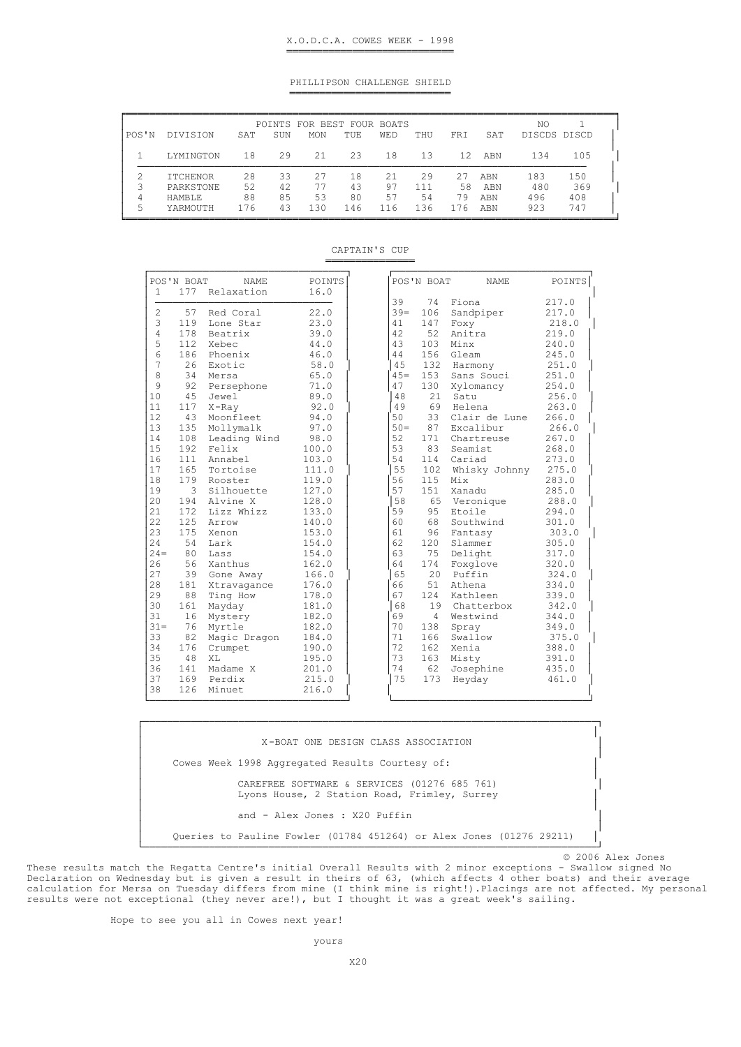## PHILLIPSON CHALLENGE SHIELD ═══════════════════════════

| POS'N  | DIVISION                                      | SAT            | SUN            | POINTS FOR BEST FOUR BOATS<br><b>MON</b> | TUE.           | <b>WED</b>     | THU             | FRI            | SAT               | NO<br>DISCDS DISCD |                   |
|--------|-----------------------------------------------|----------------|----------------|------------------------------------------|----------------|----------------|-----------------|----------------|-------------------|--------------------|-------------------|
|        | LYMINGTON                                     | 18             | 29             | 21                                       | 23             | 18             | 13              | 12             | ABN               | 134                | 105               |
| 3<br>4 | <b>TTCHENOR</b><br>PARKSTONE<br><b>HAMBLE</b> | 28<br>52<br>88 | 33<br>42<br>85 | 27<br>77<br>53                           | 18<br>43<br>80 | 21<br>97<br>57 | 29<br>111<br>54 | 27<br>58<br>79 | ABN<br>ABN<br>ABN | 183<br>480<br>496  | 150<br>369<br>408 |
| 5      | YARMOUTH                                      | 176            | 43             | 130                                      | 146            | 116            | 136             | 176            | ABN               | 923                | 747               |

CAPTAIN'S CUP ═════════════════════════

| Relaxation<br>16.0<br>Red Coral<br>22.0<br>23.0<br>Lone Star<br>Beatrix<br>39.0<br>44.0<br>Phoenix<br>46.0<br>58.0<br>65.0<br>Persephone<br>71.0<br>89.0<br>92.0<br>Moonfleet<br>94.0<br>Mollymalk<br>97.0 | 39<br>$39 =$<br>41<br>42<br>43<br>44<br>45 | 74<br>106<br>147<br>52<br>103<br>156 | Fiona<br>Sandpiper<br>Foxy<br>Anitra<br>Minx<br>Gleam |
|------------------------------------------------------------------------------------------------------------------------------------------------------------------------------------------------------------|--------------------------------------------|--------------------------------------|-------------------------------------------------------|
|                                                                                                                                                                                                            |                                            |                                      |                                                       |
|                                                                                                                                                                                                            |                                            |                                      |                                                       |
|                                                                                                                                                                                                            |                                            |                                      |                                                       |
|                                                                                                                                                                                                            |                                            |                                      |                                                       |
| $45=$<br>47<br>48<br>49<br>50<br>$50-$                                                                                                                                                                     |                                            |                                      |                                                       |
|                                                                                                                                                                                                            |                                            |                                      |                                                       |
|                                                                                                                                                                                                            |                                            |                                      |                                                       |
|                                                                                                                                                                                                            |                                            | 132                                  | Harmony                                               |
|                                                                                                                                                                                                            |                                            | 153                                  | Sans Souci                                            |
|                                                                                                                                                                                                            |                                            | 130                                  | Xylomancy                                             |
|                                                                                                                                                                                                            |                                            | 21                                   | Satu                                                  |
|                                                                                                                                                                                                            |                                            | 69                                   | Helena                                                |
|                                                                                                                                                                                                            |                                            | 33                                   | Clair de Lune                                         |
|                                                                                                                                                                                                            |                                            | 87                                   | Excalibur                                             |
| Leading Wind<br>52<br>98.0                                                                                                                                                                                 |                                            | 171                                  | Chartreuse                                            |
| 53<br>100.0                                                                                                                                                                                                |                                            | 83                                   | Seamist                                               |
| 54<br>Annabel<br>103.0                                                                                                                                                                                     | 114                                        |                                      | Cariad                                                |
| 55<br>Tortoise<br>111.0                                                                                                                                                                                    | 102                                        |                                      | Whisky Johnny                                         |
| 119.0<br>56<br>Rooster                                                                                                                                                                                     | 115                                        |                                      | Mix                                                   |
| 57<br>127.0<br>Silhouette                                                                                                                                                                                  | 151                                        |                                      | Xanadu                                                |
| 58<br>Alvine X<br>128.0                                                                                                                                                                                    |                                            |                                      | 65 Veronique                                          |
| Lizz Whizz<br>59<br>133.0                                                                                                                                                                                  | 95                                         |                                      | Etoile                                                |
| 60<br>140.0                                                                                                                                                                                                | 68                                         |                                      | Southwind                                             |
| 61<br>153.0                                                                                                                                                                                                | 96                                         |                                      | Fantasy                                               |
| 62<br>154.0                                                                                                                                                                                                | 120                                        |                                      | Slammer                                               |
| 63<br>154.0                                                                                                                                                                                                | 75                                         |                                      | Delight                                               |
| Xanthus<br>162.0<br>64                                                                                                                                                                                     | 174                                        |                                      | Foxglove                                              |
| 166.0<br>65<br>Gone Away                                                                                                                                                                                   | 20                                         |                                      | Puffin                                                |
| 66<br>Xtravagance<br>176.0                                                                                                                                                                                 | 51                                         |                                      | Athena                                                |
| 67<br>Ting How<br>178.0                                                                                                                                                                                    | 12.4                                       |                                      | Kathleen                                              |
| 68<br>181.0                                                                                                                                                                                                | 19                                         |                                      | Chatterbox                                            |
| 69<br>Mystery<br>182.0                                                                                                                                                                                     | 4                                          |                                      | Westwind                                              |
| 70<br>182.0                                                                                                                                                                                                | 138                                        |                                      | Spray                                                 |
| 71<br>Magic Dragon<br>184.0                                                                                                                                                                                | 166                                        |                                      | Swallow                                               |
| 72<br>190.0<br>Crumpet                                                                                                                                                                                     | 162                                        |                                      | Xenia                                                 |
| 73<br>195.0                                                                                                                                                                                                | 163                                        |                                      | Misty                                                 |
| 74<br>Madame X<br>201.0                                                                                                                                                                                    | 62                                         |                                      | Josephine                                             |
| 75<br>215.0                                                                                                                                                                                                | 173                                        |                                      | Heyday                                                |
| 216.0                                                                                                                                                                                                      |                                            |                                      |                                                       |

┌────────────────────────────────────────────────────────────────────────────┐ │ │ │ X-BOAT ONE DESIGN CLASS ASSOCIATION │ │ │ Cowes Week 1998 Aggregated Results Courtesy of: │ │ │ CAREFREE SOFTWARE & SERVICES (01276 685 761) Lyons House, 2 Station Road, Frimley, Surrey │ │ and - Alex Jones : X20 Puffin │ │ │ Queries to Pauline Fowler (01784 451264) or Alex Jones (01276 29211) │ └────────────────────────────────────────────────────────────────────────────┘

© 2006 Alex Jones

These results match the Regatta Centre's initial Overall Results with 2 minor exceptions - Swallow signed No Declaration on Wednesday but is given a result in theirs of 63, (which affects 4 other boats) and their average calculation for Mersa on Tuesday differs from mine (I think mine is right!).Placings are not affected. My personal results were not exceptional (they never are!), but I thought it was a great week's sailing.

Hope to see you all in Cowes next year!

yours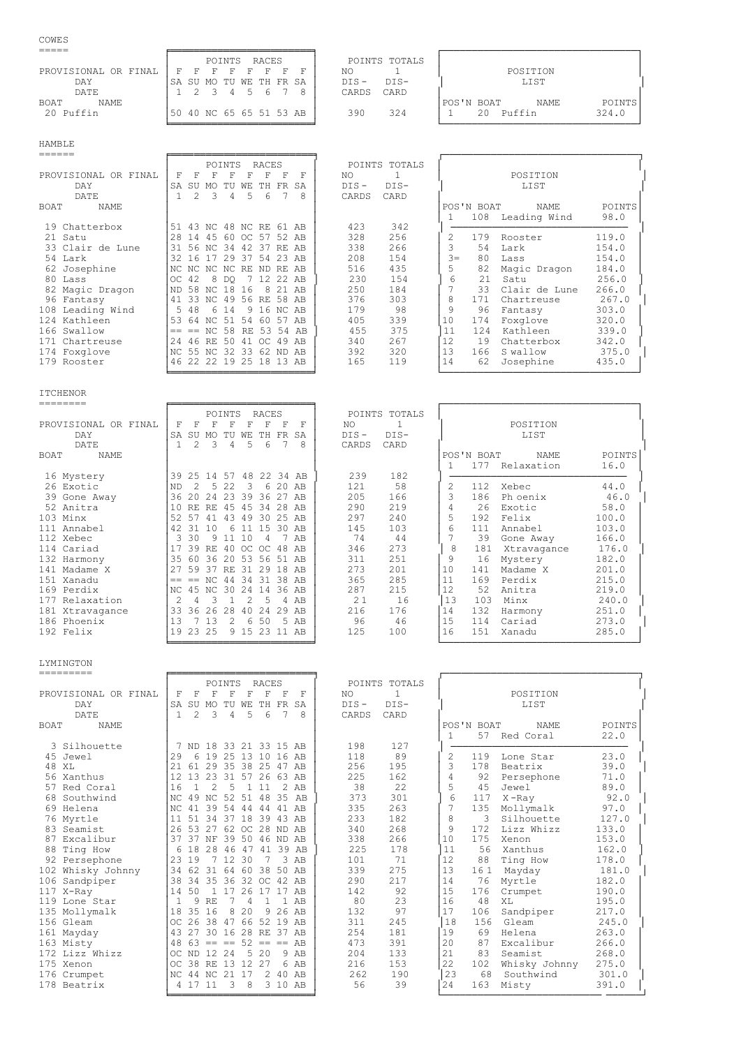## $\text{COWES}$ <br> $\text{E}=$

|                      | POINTS<br>RACES                | POINTS TOTALS     |                              |
|----------------------|--------------------------------|-------------------|------------------------------|
| PROVISIONAL OR FINAL | E.<br>П<br>F.<br><b>F</b><br>F | ΝO                | POSITION                     |
| DAY                  | SA SU MO TU WE TH FR SA        | $DTS-$<br>$NTS -$ | LIST                         |
| DATE.                | 4 5 6 7                        | CARDS<br>CARD     |                              |
| NAME<br><b>BOAT</b>  |                                |                   | POINTS<br>POS'N BOAT<br>NAME |
| 20 Puffin            | 50 40 NC 65 65 51 53 AB        | 324<br>390        | 324.0<br>Puffin<br>20        |
|                      |                                |                   |                              |

HAMBLE

| ======               |     |      |                      |        |       |          |       |          |         |               |       |            |               |        |
|----------------------|-----|------|----------------------|--------|-------|----------|-------|----------|---------|---------------|-------|------------|---------------|--------|
|                      |     |      |                      | POINTS |       | RACES    |       |          |         | POINTS TOTALS |       |            |               |        |
| PROVISIONAL OR FINAL | F   | F    | F                    | F      |       |          |       | F        | NO.     |               |       |            | POSITION      |        |
| DAY                  | SA  | SU   | MO                   | TU     | WF.   | TH.      | FR.   | SA       | $DIS -$ | $DIS-$        |       |            | LIST          |        |
| DATE                 |     | 2    | 3                    | 4      | .5    | 6        | 7     | 8        | CARDS   | CARD          |       |            |               |        |
| NAME<br>BOAT         |     |      |                      |        |       |          |       |          |         |               |       | POS'N BOAT | NAME          | POINTS |
|                      |     |      |                      |        |       |          |       |          |         |               |       | 108        | Leading Wind  | 98.0   |
| 19 Chatterbox        | 51  |      | 43 NC 48 NC RE 61 AB |        |       |          |       |          | 423     | 342           |       |            |               |        |
| 21 Satu              | 28  | - 14 | 45                   |        | 60 OC | 57       |       | 52 AB    | 328     | 256           | 2.    | 179        | Rooster       | 119.0  |
| 33 Clair de Lune     | 31  | 56   | NC 34                |        | 42    | 37       | RF.   | AB       | 338     | 266           | 3     | 54         | Lark          | 154.0  |
| 54 Lark              | 32  | 16   |                      | 29     | -37   | .54      |       | 23 AB    | 208     | 154           | $3 =$ | 80         | Lass          | 154.0  |
| 62 Josephine         | NC. | NC.  | NC NC                |        | RE.   | ND.      | RE AB |          | 516     | 435           | 5     | 82         | Magic Dragon  | 184.0  |
| 80 Lass              | OC  | 42   | 8                    | DO     |       |          |       | 12 22 AB | 230     | 154           | 6     | 2.1        | Satu          | 256.0  |
| 82 Magic Dragon      | ND  | 58   | NC.                  | -18    | 16    | 8        | 21    | AB       | 250     | 184           |       | 33         | Clair de Lune | 266.0  |
| 96 Fantasy           | 41  | 33   |                      | NC 49  |       | 56 RE 58 |       | AB       | 376     | 303           | 8     | 171        | Chartreuse    | 267.0  |
| 108 Leading Wind     | 5   | 48   | 6                    | 14     | q     | 16       | NC AB |          | 179     | 98            | 9     | 96         | Fantasy       | 303.0  |
| 124 Kathleen         | 53  | 64   | NC.                  | - 51   | 54    | 60       | 57    | AB       | 405     | 339           | 10    | 174        | Foxglove      | 320.0  |
| 166 Swallow          |     | $==$ | NC 58                |        |       | RE 53    |       | 54 AB    | 455     | 375           | 11    | 124        | Kathleen      | 339.0  |
| 171 Chartreuse       | 2.4 | 46   | RE.                  | 50     | 41    | OC.      | 49    | AB       | 340     | 267           | 12    | 19         | Chatterbox    | 342.0  |
| 174 Foxglove         | NC. |      | 55 NC                | -32    | 33    | 62.      | ND.   | AB       | 392     | 320           | 13    | 166        | S wallow      | 375.0  |
| 179 Rooster          | 46  |      | 22 22 19             |        | 25    | 18       | 13    | AB       | 165     | 119           | 14    | 62         | Josephine     | 435.0  |
|                      |     |      |                      |        |       |          |       |          |         |               |       |            |               |        |

╘════════════════════════╛ └─────────────────────────────────┘

ITCHENOR<br>========

|                      |           |                         |                         | POINTS            |               | RACES         |    |                         |         | POINTS TOTALS |    |            |                |               |  |
|----------------------|-----------|-------------------------|-------------------------|-------------------|---------------|---------------|----|-------------------------|---------|---------------|----|------------|----------------|---------------|--|
| PROVISIONAL OR FINAL | F         | F                       | F                       | F                 | F             | F             | F  | F                       | NO.     |               |    |            | POSITION       |               |  |
| DAY                  | <b>SA</b> | SU                      | MO.                     | TU                | WЕ            | TH.           | FR | SA                      | $DIS -$ | $DIS-$        |    |            | LIST           |               |  |
| DATE                 |           | 2                       | $\overline{\mathbf{3}}$ | 4                 | -5            | 6             | 7  | 8                       | CARDS   | CARD          |    |            |                |               |  |
| BOAT<br>NAME         |           |                         |                         |                   |               |               |    |                         |         |               |    | POS'N BOAT | NAME           | <b>POINTS</b> |  |
|                      |           |                         |                         |                   |               |               |    |                         |         |               |    |            | 177 Relaxation | 16.0          |  |
| 16 Mystery           |           |                         |                         |                   |               |               |    | 39 25 14 57 48 22 34 AB | 239     | 182           |    |            |                |               |  |
| 26 Exotic            | <b>ND</b> | $\mathcal{P}$           |                         | 5 22              | -3            |               |    | 6 20 AB                 | 121     | 58            | 2. | 112        | Xebec          | 44.0          |  |
| 39 Gone Away         | 36        | -20                     | 2.4                     | 23 39 36 27 AB    |               |               |    |                         | 205     | 166           |    | 186        | Ph oenix       | 46.0          |  |
| 52 Anitra            | 10        |                         | RE RE 45 45 34 28 AB    |                   |               |               |    |                         | 290     | 219           |    | 26         | Exotic         | 58.0          |  |
| 103 Minx             |           | 52 57                   |                         | 41 43 49 30 25 AB |               |               |    |                         | 297     | 240           |    | 192        | Felix          | 100.0         |  |
| 111 Annabel          |           | 42 31                   | 10                      |                   |               | 6 11 15 30 AB |    |                         | 145     | 103           | 6  | 111        | Annabel        | 103.0         |  |
| 112 Xebec            | 3         | 30                      |                         | 9 1 1             | 10            | 4             |    | 7 AB                    | 74      | 44            |    | 39         | Gone Away      | 166.0         |  |
| 114 Cariad           |           | 17 39 RE 40 OC OC 48 AB |                         |                   |               |               |    |                         | 346     | 273           | 8  | 181        | Xtravagance    | 176.0         |  |
| 132 Harmony          |           | 35 60 36 20 53 56 51 AB |                         |                   |               |               |    |                         | 311     | 251           | 9  | 16         | Mystery        | 182.0         |  |
| 141 Madame X         | 27        |                         | 59 37 RE 31 29 18       |                   |               |               |    | AB                      | 273     | 201           | 10 | 141        | Madame X       | 201.0         |  |
| 151 Xanadu           |           | $== = =$                | NC 44 34 31 38 AB       |                   |               |               |    |                         | 365     | 285           | 11 | 169        | Perdix         | 215.0         |  |
| 169 Perdix           |           | NC 45 NC 30 24 14 36 AB |                         |                   |               |               |    |                         | 287     | 215           | 12 | 52         | Anitra         | 219.0         |  |
| 177 Relaxation       |           |                         | 3                       |                   | $\mathcal{L}$ | .5            |    | 4 AB                    | 21      | 16            | 13 | 103        | Minx           | 240.0         |  |
| 181 Xtravagance      | 33        |                         | 36 26 28                |                   | 40            | 24            |    | $29$ AB                 | 216     | 176           | 14 | 132        | Harmony        | 251.0         |  |
| 186 Phoenix          | 13        |                         | 13                      | 2                 | 6             | 50            |    | 5 AB                    | 96      | 46            | 15 | 114        | Cariad         | 273.0         |  |
| 192 Felix            | 19        | 23 25                   |                         |                   |               | 9 15 23 11 AB |    |                         | 125     | 100           | 16 | 151        | Xanadu         | 285.0         |  |

| ========             |                             |                                     |                   |                                  |
|----------------------|-----------------------------|-------------------------------------|-------------------|----------------------------------|
|                      |                             | POINTS<br><b>RACES</b>              | POINTS TOTALS     |                                  |
| PROVISIONAL OR FINAL | F<br>F<br>F                 | F<br>F<br>F<br>F                    | NO.               | POSITION                         |
| DAY                  | <b>SA</b><br>SU<br>MO.      | TH<br>FR.<br>SA<br>TU<br>WЕ         | $DIS -$<br>$DIS-$ | LIST                             |
| DATE                 | 2<br>Β                      | 5<br>6<br>4<br>8                    | CARDS<br>CARD     |                                  |
| NAME<br>BOAT         |                             |                                     |                   | POINTS<br>POS'N BOAT<br>NAME     |
|                      |                             |                                     |                   | 177 Relaxation<br>16.0<br>1.     |
| 16 Mystery           |                             | 39 25 14 57 48 22 34 AB             | 239<br>182        |                                  |
| 26 Exotic            | ND.<br>-5.<br>$\mathcal{P}$ | $\mathcal{R}$<br>-22<br>6 20 AB     | 58<br>121         | 44.0<br>2<br>112<br>Xebec        |
| 39 Gone Away         | 36 20                       | 24 23 39 36 27 AB                   | 205<br>166        | 3<br>46.0<br>186<br>Ph oenix     |
| 52 Anitra            | 10<br>RE.<br>RE.            | 45<br>45 34 28 AB                   | 290<br>219        | 58.0<br>4<br>Exotic<br>26        |
| 103 Minx             | 52 <sub>1</sub><br>57<br>41 | 43 49 30 25 AB                      | 297<br>240        | 5<br>192<br>Felix<br>100.0       |
| 111 Annabel          | 42.<br>1 O<br>-31           | 1.5<br>30 AB<br>$6^{\circ}$<br>11   | 103<br>145        | 103.0<br>6<br>111<br>Annabel     |
| 112 Xebec            | 30<br>3.<br>9               | 11 10<br>AB<br>4                    | 74<br>44          | 39<br>166.0<br>Gone Away         |
| 114 Cariad           | 17                          | 39 RE 40 OC OC 48 AB                | 273<br>346        | 176.0<br>8<br>181<br>Xtravagance |
| 132 Harmony          | 35 60                       | 36 20 53 56 51<br>AB                | 251<br>311        | 9<br>16<br>182.0<br>Mystery      |
| 141 Madame X         | 27                          | 59 37 RE 31 29 18 AB                | 273<br>201        | 201.0<br>10<br>141<br>Madame X   |
| 151 Xanadu           | $== = ==$                   | 34 31 38 AB<br>NC 44                | 285<br>365        | 11<br>215.0<br>169<br>Perdix     |
| 169 Perdix           | 45 NC 30<br>NC              | 2.4<br>14<br>36<br>AB               | 287<br>215        | 12<br>219.0<br>52<br>Anitra      |
| 177 Relaxation       | 3<br>4                      | $\mathcal{L}$<br>- 5<br>AB<br>4     | 21<br>16          | 13<br>103<br>240.0<br>Minx       |
| 181 Xtravagance      | 33<br>36,26                 | 2.8<br>40<br>29 AB<br>2.4           | 216<br>176        | 14<br>251.0<br>132<br>Harmony    |
| 186 Phoenix          | 13<br>13                    | $\mathcal{L}$<br>50<br>6<br>5<br>AB | 96<br>46          | 15<br>114<br>273.0<br>Cariad     |
| 192 Felix            | 19<br>23 25                 | 15<br>23<br>9<br>-11<br>AB          | 125<br>100        | 151<br>285.0<br>16<br>Xanadu     |

LYMINGTON

| =========            |                                                                                           |                                            |
|----------------------|-------------------------------------------------------------------------------------------|--------------------------------------------|
|                      | POINTS TOTALS<br>POINTS<br><b>RACES</b>                                                   |                                            |
| PROVISIONAL OR FINAL | F<br>1<br>F<br>F<br>F<br>F<br>F<br>F<br>NO.<br>F                                          | POSITION                                   |
| DAY                  | $DTS-$<br>$DIS -$<br><b>SA</b><br>SU<br><b>FR</b><br><b>SA</b><br>MO.<br>TU<br>WF.<br>TH. | <b>LIST</b>                                |
| <b>DATE</b>          | 3<br>5<br>6<br>$\mathbf{1}$<br>$\mathcal{L}$<br>4<br>8<br>CARDS<br>CARD                   |                                            |
| <b>BOAT</b><br>NAME. |                                                                                           | POS'N BOAT<br><b>NAME</b><br><b>POINTS</b> |
|                      |                                                                                           | 22.0<br>57<br>Red Coral                    |
| 3 Silhouette         | 7 ND 18 33 21 33 15 AB<br>198<br>127                                                      |                                            |
| 45 Jewel             | 89<br>2.9<br>19<br>13<br>118<br>6<br>2.5<br>10<br>16<br>AB                                | 23.0<br>$\mathcal{L}$<br>119<br>Lone Star  |
| 48 XT.               | 29<br>35<br>38<br>256<br>195<br>2.1<br>61<br>2.5<br>47<br>AB                              | 3<br>39.0<br>178<br>Beatrix                |
| 56 Xanthus           | 12<br>13<br>23<br>225<br>162<br>31<br>26<br>57<br>63 AB                                   | 4<br>71.0<br>92<br>Persephone              |
| 57 Red Coral         | 38<br>22<br>16<br>$\mathcal{L}$<br>2<br>5<br>11<br>AB                                     | 5<br>89.0<br>45<br>Jewel                   |
| Southwind<br>68      | 373<br>301<br>52<br>35<br>NC.<br>49<br>NC.<br>51<br>48<br>AB                              | 6<br>92.0<br>117<br>$X$ -Ray               |
| 69 Helena            | 263<br>39<br>335<br>41<br>54<br>41 AB<br>NC.<br>44<br>44                                  | 7<br>135<br>97.0<br>Mollymalk              |
| 76 Myrtle            | 233<br>182<br>11<br>51<br>34<br>18<br>39<br>43 AB<br>- 37                                 | 8<br>Silhouette<br>127.0<br>3              |
| 83 Seamist           | 268<br>2.8<br>340<br>2.6<br>53<br>27<br>62<br>OC<br>ND AB                                 | 9<br>Lizz Whizz<br>133.0<br>172            |
| 87 Excalibur         | 338<br>266<br>37<br>37<br>39<br>50<br>46 ND AB<br>NF                                      | 10<br>175<br>153.0<br>Xenon                |
| 88 Ting How          | 225<br>178<br>2.8<br>39<br>AB<br>6<br>18<br>46<br>41<br>47                                | 11<br>56<br>162.0<br>Xanthus               |
| 92 Persephone        | 2.3<br>12<br>101<br>71<br>19<br>30<br>7<br>3<br>AB                                        | 12<br>88<br>178.0<br>Ting How              |
| 102 Whisky Johnny    | 275<br>50 AB<br>339<br>34<br>62<br>64<br>38<br>31<br>60                                   | 13<br>161<br>181.0<br>Mayday               |
| 106 Sandpiper        | 290<br>217<br>38<br>35<br>34<br>36<br>32<br>42.<br>OC<br>AB                               | 14<br>182.0<br>76<br>Myrtle                |
| $117$ X-Ray          | 142<br>92<br>14<br>50<br>17<br>2.6<br>17<br>17 AB                                         | 15<br>190.0<br>176<br>Crumpet              |
| 119 Lone Star        | 2.3<br>80<br>RF.<br>$\mathbf{1}$<br>AB<br>9<br>4                                          | 16<br>48<br>195.0<br>XT.                   |
| 135 Mollymalk        | 97<br>$26$ AB<br>132<br>18<br>35<br>16<br>2.0<br>8<br>9                                   | 17<br>106<br>217.0<br>Sandpiper            |
| 156 Gleam            | 245<br>2.6<br>38<br>66<br>52<br>19 AB<br>311<br>OC<br>47                                  | 18<br>245.0<br>156<br>Gleam                |
| 161 Mayday           | 254<br>181<br>43<br>2.7<br>30<br>2.8<br>16<br>RE 37<br>AB                                 | 19<br>263.0<br>69<br>Helena                |
| 163 Misty            | 391<br>$63 == == 52 == == AB$<br>473<br>48                                                | 20<br>87<br>Excalibur<br>266.0             |
| 172 Lizz Whizz       | 133<br>12.24<br>20<br>204<br>OC<br>.5<br>9<br>AB<br>ND.                                   | 21<br>83<br>Seamist<br>268.0               |
| 175 Xenon            | 216<br>153<br>12<br>OC<br>38<br>RF.<br>13<br>27<br>6<br>AB                                | 22<br>102<br>275.0<br>Whisky Johnny        |
| 176 Crumpet          | 262<br>190<br>21<br>17<br>40<br>AB<br>44<br>NC.<br>2<br>NC.                               | 23<br>Southwind<br>68<br>301.0             |
| 178 Beatrix          | 3<br>8<br>3 10 AB<br>56<br>39<br>11<br>17<br>4                                            | 24<br>391.0<br>163<br>Misty                |
|                      |                                                                                           |                                            |

╘════════════════════════╛ └─────────────────────────────────┘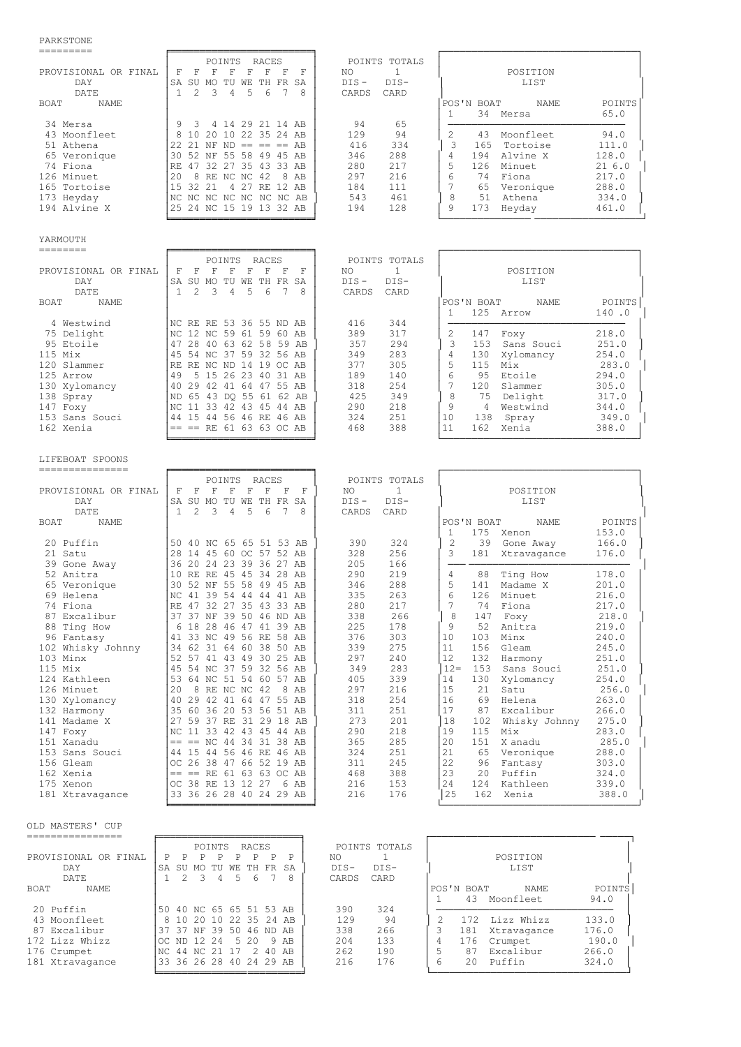## PARKSTONE

| FARNSIUNL                                                                                                                                                                                                                                                                                                                                                                 |                                                                                                                                                                                                                                                                                                                                                                                                                                                                                                                                                                                                                                                                                                                  |                                                                                                                                                                                                                                                                                                                                                            |                                                                                                                                                                                                                                                                                                                                                                                                                                                                                                                                                                                                                                                                                                                                                                                                                           |
|---------------------------------------------------------------------------------------------------------------------------------------------------------------------------------------------------------------------------------------------------------------------------------------------------------------------------------------------------------------------------|------------------------------------------------------------------------------------------------------------------------------------------------------------------------------------------------------------------------------------------------------------------------------------------------------------------------------------------------------------------------------------------------------------------------------------------------------------------------------------------------------------------------------------------------------------------------------------------------------------------------------------------------------------------------------------------------------------------|------------------------------------------------------------------------------------------------------------------------------------------------------------------------------------------------------------------------------------------------------------------------------------------------------------------------------------------------------------|---------------------------------------------------------------------------------------------------------------------------------------------------------------------------------------------------------------------------------------------------------------------------------------------------------------------------------------------------------------------------------------------------------------------------------------------------------------------------------------------------------------------------------------------------------------------------------------------------------------------------------------------------------------------------------------------------------------------------------------------------------------------------------------------------------------------------|
| ---------<br>PROVISIONAL OR FINAL<br>DAY<br>DATE<br><b>BOAT</b><br><b>NAME</b>                                                                                                                                                                                                                                                                                            | POINTS<br>RACES<br>F<br>F<br>$\mathbb{F}$<br>F<br>$\mathbf{F}$<br>F<br>– F<br>$-$ F<br>SA SU MO TU WE TH FR SA<br>3<br>$\overline{4}$<br>5<br>6<br>7<br>$\mathbf{1}$<br>2<br>8                                                                                                                                                                                                                                                                                                                                                                                                                                                                                                                                   | POINTS TOTALS<br>NO<br>1<br>$DIS -$<br>$DIS-$<br>CARDS<br>CARD                                                                                                                                                                                                                                                                                             | POSITION<br>LIST<br>POS'N BOAT<br>NAME<br>POINTS                                                                                                                                                                                                                                                                                                                                                                                                                                                                                                                                                                                                                                                                                                                                                                          |
| 34 Mersa<br>43 Moonfleet<br>51 Athena<br>65 Veronique<br>74 Fiona<br>126 Minuet<br>165 Tortoise<br>173 Heyday<br>194 Alvine X                                                                                                                                                                                                                                             | 4 14 29 21 14 AB<br>9<br>3<br>10 20 10 22 35 24 AB<br>8<br>22 21 NF ND == == == AB<br>30 52 NF 55 58 49 45 AB<br>RE 47 32 27 35 43 33 AB<br>20<br>8 RE NC NC 42<br>8 AB<br>15 32 21<br>4 27 RE 12 AB<br>INC NC NC NC NC NC NC AB<br>25 24 NC 15 19 13 32 AB                                                                                                                                                                                                                                                                                                                                                                                                                                                      | 94<br>65<br>129<br>94<br>416<br>334<br>288<br>346<br>280<br>217<br>297<br>216<br>184<br>111<br>543<br>461<br>194<br>128                                                                                                                                                                                                                                    | 34 Mersa<br>65.0<br>1<br>$\overline{c}$<br>Moonfleet<br>94.0<br>43<br>3<br>165<br>Tortoise<br>111.0<br>Alvine X<br>194<br>128.0<br>4<br>5<br>126 Minuet<br>216.0<br>6<br>74 Fiona<br>217.0<br>7<br>65<br>Veronique<br>288.0<br>8<br>51 Athena<br>334.0<br>9<br>Heyday<br>173<br>461.0                                                                                                                                                                                                                                                                                                                                                                                                                                                                                                                                     |
| YARMOUTH                                                                                                                                                                                                                                                                                                                                                                  |                                                                                                                                                                                                                                                                                                                                                                                                                                                                                                                                                                                                                                                                                                                  |                                                                                                                                                                                                                                                                                                                                                            |                                                                                                                                                                                                                                                                                                                                                                                                                                                                                                                                                                                                                                                                                                                                                                                                                           |
| --------<br>PROVISIONAL OR FINAL<br>DAY<br>DATE<br>BOAT<br><b>NAME</b>                                                                                                                                                                                                                                                                                                    | POINTS<br>RACES<br>$\mathbf F$<br>$\mathbf F$<br>$\mathbf F$<br>F<br>F<br>F<br>– F<br>F<br>SA SU MO TU WE TH FR SA<br>$\mathbf{1}$<br>2<br>3<br>4<br>5<br>6<br>7<br>8                                                                                                                                                                                                                                                                                                                                                                                                                                                                                                                                            | POINTS TOTALS<br>$\mathbf{1}$<br>NO.<br>$DIS-$<br>$DIS -$<br>CARDS<br>CARD                                                                                                                                                                                                                                                                                 | POSITION<br>LIST<br>POINTS<br>POS'N BOAT<br><b>NAME</b>                                                                                                                                                                                                                                                                                                                                                                                                                                                                                                                                                                                                                                                                                                                                                                   |
| 4 Westwind<br>75 Delight<br>95 Etoile<br>$115$ Mix<br>120 Slammer<br>125 Arrow<br>130 Xylomancy<br>138 Spray<br>147 Foxy<br>153 Sans Souci<br>162 Xenia                                                                                                                                                                                                                   | NC RE RE 53 36 55 ND AB<br>NC 12 NC 59 61 59 60 AB<br>47 28 40 63 62 58 59 AB<br>45 54 NC 37 59 32 56 AB<br>RE RE NC ND 14 19 OC AB<br>5 15 26 23 40 31 AB<br>49<br>40 29 42 41 64 47 55 AB<br>ND 65 43 DQ 55 61 62 AB<br>NC 11 33 42 43 45 44 AB<br>44 15 44 56 46 RE 46 AB<br>$==$ == RE 61 63 63 OC AB                                                                                                                                                                                                                                                                                                                                                                                                        | 416<br>344<br>389<br>317<br>357<br>294<br>283<br>349<br>377<br>305<br>140<br>189<br>254<br>318<br>425<br>349<br>290<br>218<br>324<br>251<br>468<br>388                                                                                                                                                                                                     | 125 Arrow<br>140.0<br>1<br>2<br>218.0<br>147<br>Foxy<br>3<br>Sans Souci<br>153<br>251.0<br>$\overline{4}$<br>130<br>Xylomancy<br>254.0<br>5<br>115<br>Mix<br>283.0<br>6<br>95<br>Etoile<br>294.0<br>7<br>120<br>Slammer<br>305.0<br>8<br>75 Delight<br>317.0<br>9<br>4<br>Westwind<br>344.0<br>10<br>138<br>349.0<br>Spray<br>162<br>11<br>Xenia<br>388.0                                                                                                                                                                                                                                                                                                                                                                                                                                                                 |
| LIFEBOAT SPOONS<br>---------------<br>PROVISIONAL OR FINAL                                                                                                                                                                                                                                                                                                                | POINTS<br>RACES<br>$\mathbf F$<br>$\mathbf F$<br>$\mathbf F$<br>F<br>$\mathbb F$<br>$\mathbb{F}$<br>$_{\rm F}$<br>F                                                                                                                                                                                                                                                                                                                                                                                                                                                                                                                                                                                              | POINTS TOTALS<br>$\mathbf{1}$<br>NO.                                                                                                                                                                                                                                                                                                                       | POSITION                                                                                                                                                                                                                                                                                                                                                                                                                                                                                                                                                                                                                                                                                                                                                                                                                  |
| DAY<br>DATE<br><b>NAME</b><br>BOAT                                                                                                                                                                                                                                                                                                                                        | SA SU MO TU WE TH FR SA<br>3<br>$\overline{4}$<br>5<br>6<br>$\mathbf{1}$<br>$\mathfrak{D}$<br>7<br>8                                                                                                                                                                                                                                                                                                                                                                                                                                                                                                                                                                                                             | $DIS -$<br>$DIS-$<br>CARDS<br>CARD                                                                                                                                                                                                                                                                                                                         | LIST<br>POS'N BOAT<br>NAME<br>POINTS                                                                                                                                                                                                                                                                                                                                                                                                                                                                                                                                                                                                                                                                                                                                                                                      |
| 20 Puffin<br>21 Satu<br>39 Gone Away<br>52 Anitra<br>65 Veronique<br>69 Helena<br>74 Fiona<br>87 Excalibur<br>88 Ting How<br>96 Fantasy<br>102 Whisky Johnny<br>103 Minx<br>$115$ Mix<br>124 Kathleen<br>126 Minuet<br>130 Xylomancy<br>132 Harmony<br>141 Madame X<br>147 Foxy<br>151 Xanadu<br>153 Sans Souci<br>156 Gleam<br>162 Xenia<br>175 Xenon<br>181 Xtravagance | 50 40 NC 65 65 51 53 AB<br>28 14 45 60 OC 57 52 AB<br>36 20 24 23 39 36 27 AB<br>10 RE RE 45 45 34 28 AB<br>30 52 NF 55 58 49 45 AB<br>NC 41 39 54 44 44 41 AB<br>47 32 27 35 43 33 AB<br>RE<br>37 37 NF 39 50 46 ND AB<br>18 28 46 47 41 39 AB<br>6<br>41 33 NC 49 56 RE 58 AB<br>34 62 31 64 60 38 50 AB<br>52 57 41 43 49 30 25 AB<br>45 54 NC 37 59 32 56 AB<br>53 64 NC 51 54 60 57 AB<br>20<br>8 RE NC NC 42<br>8 AB<br>40 29 42 41 64 47 55 AB<br>35 60 36 20 53 56 51 AB<br>27 59 37 RE 31 29 18 AB<br>NC 11 33 42 43 45 44 AB<br>$==$ $==$ NC 44 34 31 38 AB<br>44 15 44 56 46 RE 46 AB<br>OC 26 38 47 66 52 19 AB<br>$== == RE 61 63 63 OC AB$<br>OC 38 RE 13 12 27<br>6 AB<br>33 36 26 28 40 24 29 AB | 324<br>390<br>256<br>328<br>205<br>166<br>290<br>219<br>288<br>346<br>263<br>335<br>217<br>280<br>338<br>266<br>225<br>178<br>376<br>303<br>339<br>275<br>297<br>240<br>349<br>283<br>405<br>339<br>297<br>216<br>254<br>318<br>311<br>251<br>273<br>201<br>290<br>218<br>285<br>365<br>324<br>251<br>311<br>245<br>468<br>388<br>216<br>153<br>216<br>176 | 175<br>153.0<br>1<br>Xenon<br>2<br>39<br>Gone Away<br>166.0<br>3<br>181<br>176.0<br>Xtravagance<br>4<br>178.0<br>88<br>Ting How<br>5<br>141<br>Madame X<br>201.0<br>6<br>126<br>Minuet<br>216.0<br>7<br>Fiona<br>217.0<br>74<br>8<br>147<br>Foxy<br>218.0<br>9<br>52<br>Anitra<br>219.0<br>10<br>103<br>Minx<br>240.0<br>11<br>156<br>Gleam<br>245.0<br>12<br>132<br>251.0<br>Harmony<br>$12 =$<br>153 Sans Souci<br>251.0<br>14<br>130<br>Xylomancy<br>254.0<br>15<br>21<br>Satu<br>256.0<br>16<br>Helena<br>69<br>263.0<br>17<br>87<br>Excalibur<br>266.0<br>18<br>Whisky Johnny<br>102<br>275.0<br>19<br>115<br>283.0<br>Mix<br>20<br>151<br>X anadu<br>285.0<br>21<br>65 Veronique<br>288.0<br>22<br>96 Fantasy<br>303.0<br>23<br>Puffin<br>20<br>324.0<br>24<br>124 Kathleen<br>339.0<br>25<br>162<br>Xenia<br>388.0 |

OLD MASTERS' CUP

|                      | RACES<br>POINTS TOTALS<br>POINTS                           |                                     |  |  |  |  |  |  |  |
|----------------------|------------------------------------------------------------|-------------------------------------|--|--|--|--|--|--|--|
| PROVISIONAL OR FINAL | P<br>NO.<br>P<br>Ρ<br>Ρ<br>P                               | POSITION                            |  |  |  |  |  |  |  |
| <b>DAY</b>           | $DTS-$<br>SA<br>FR<br>SA<br>SU<br>WF.<br>TН<br>MO.<br>∙ ™U | $DTS-$<br>LIST                      |  |  |  |  |  |  |  |
| <b>DATE</b>          | 6<br>8<br>CARDS<br>CARD<br>5<br>4                          |                                     |  |  |  |  |  |  |  |
| NAME<br>BOAT         |                                                            | POINTS<br>POS'N BOAT<br><b>NAME</b> |  |  |  |  |  |  |  |
|                      |                                                            | 43<br>94.0<br>Moonfleet             |  |  |  |  |  |  |  |
| 20 Puffin            | 40 NC 65 65 51 53 AB<br>390<br>50                          | 324                                 |  |  |  |  |  |  |  |
| 43 Moonfleet         | 129<br>8 10 20 10 22 35 24 AB                              | 133.0<br>94<br>172<br>Lizz Whizz    |  |  |  |  |  |  |  |
| 87 Excalibur         | 338<br>39<br>37<br>37<br>NF.<br>50<br>.46.<br>AB<br>ND.    | 266<br>176.0<br>181<br>Xtravagance  |  |  |  |  |  |  |  |
| 172 Lizz Whizz       | 204<br>20<br>12, 24<br>9 AB<br>ND.<br>.5.<br>OC.           | 133<br>190.0<br>176<br>4<br>Crumpet |  |  |  |  |  |  |  |
| 176 Crumpet          | 262<br>40 AB<br>44 NC 21<br>$\mathcal{P}$<br>NC.<br>- 17   | 266.0<br>190<br>87<br>Excalibur     |  |  |  |  |  |  |  |
| 181 Xtravagance      | 216<br>36 26 28 40 24 29 AB<br>33                          | 176<br>324.0<br>20<br>Puffin        |  |  |  |  |  |  |  |
|                      |                                                            |                                     |  |  |  |  |  |  |  |